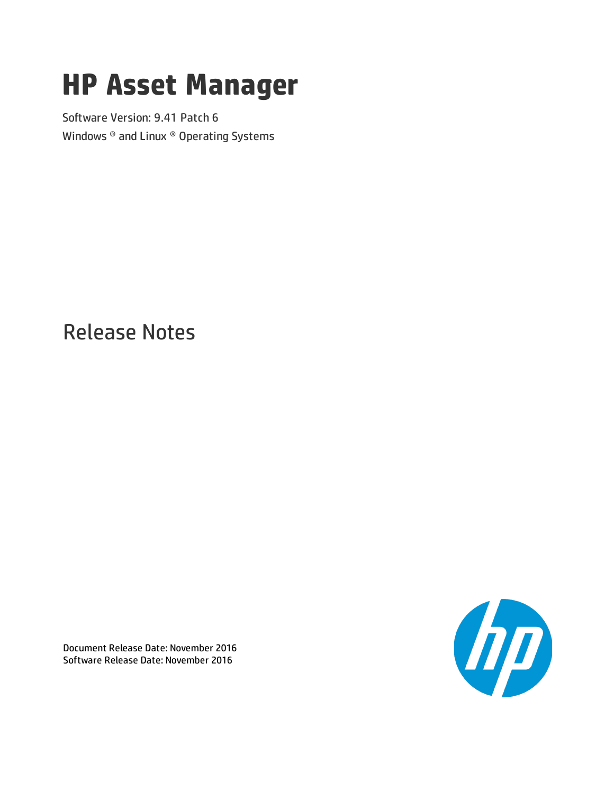# **HP Asset Manager**

Software Version: 9.41 Patch 6 Windows ® and Linux ® Operating Systems

Release Notes



Document Release Date: November 2016 Software Release Date: November 2016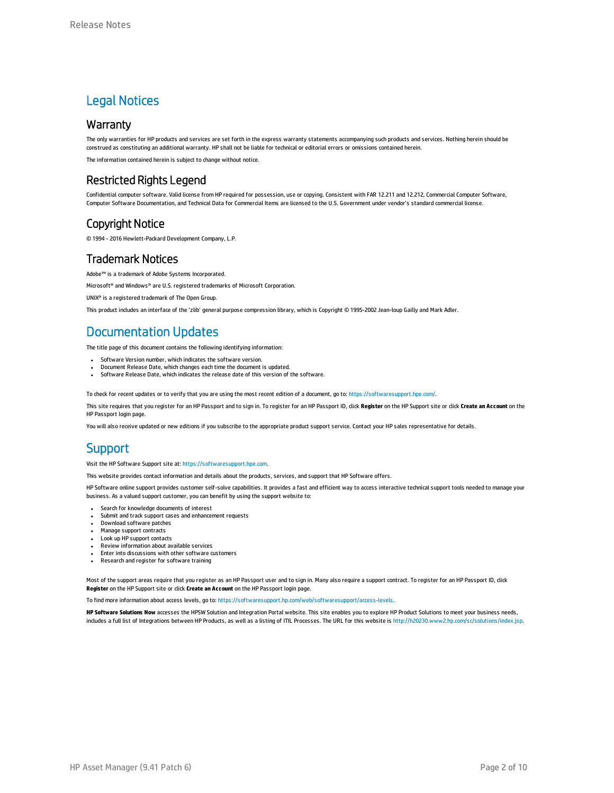### Legal Notices

### **Warranty**

The only warranties for HP products and services are set forth in the express warranty statements accompanying such products and services. Nothing herein should be construed as constituting an additional warranty. HP shall not be liable for technical or editorial errors or omissions contained herein.

The information contained herein is subject to change without notice.

### Restricted Rights Legend

Confidential computer software. Valid license from HP required for possession, use or copying. Consistent with FAR 12.211 and 12.212, Commercial Computer Software, Computer Software Documentation, and Technical Data for Commercial Items are licensed to the U.S. Government under vendor's standard commercial license.

### Copyright Notice

© 1994 - 2016 Hewlett-Packard Development Company, L.P.

### Trademark Notices

Adobe™ is a trademark of Adobe Systems Incorporated.

Microsoft® and Windows® are U.S. registered trademarks of Microsoft Corporation.

UNIX® is a registered trademark of The Open Group.

This product includes an interface of the 'zlib' general purpose compression library, which is Copyright © 1995-2002 Jean-loup Gailly and Mark Adler.

### Documentation Updates

The title page of this document contains the following identifying information:

- Software Version number, which indicates the software version.
- <sup>l</sup> Document Release Date, which changes each time the document is updated. Software Release Date, which indicates the release date of this version of the software.

To check for recent updates or to verify that you are using the most recent edition of a document, go to: <https://softwaresupport.hpe.com/>.

This site requires that you register for an HP Passport and to sign in. To register for an HP Passport ID, click **Register** on the HP Support site or click **Create an Account** on the HP Passport login page.

You will also receive updated or new editions if you subscribe to the appropriate product support service. Contact your HP sales representative for details.

### **Support**

Visit the HP Software Support site at: [https://softwaresupport.hpe.com](https://softwaresupport.hpe.com/).

This website provides contact information and details about the products, services, and support that HP Software offers.

HP Software online support provides customer self-solve capabilities. It provides a fast and efficient way to access interactive technical support tools needed to manage your business. As a valued support customer, you can benefit by using the support website to:

- **.** Search for knowledge documents of interest
- Submit and track support cases and enhancement requests
- Download software patches
- Manage support contracts • Look up HP support contacts
- <sup>l</sup> Review information about available services
- **.** Enter into discussions with other software customers
- <sup>l</sup> Research and register for software training

Most of the support areas require that you register as an HP Passport user and to sign in. Many also require a support contract. To register for an HP Passport ID, click **Register** on the HP Support site or click **Create an Account** on the HP Passport login page.

To find more information about access levels, go to: <https://softwaresupport.hp.com/web/softwaresupport/access-levels>.

**HP Software Solutions Now** accesses the HPSW Solution and Integration Portal website. This site enables you to explore HP Product Solutions to meet your business needs, includes a full list of Integrations between HP Products, as well as a listing of ITIL Processes. The URL for this website is <http://h20230.www2.hp.com/sc/solutions/index.jsp>.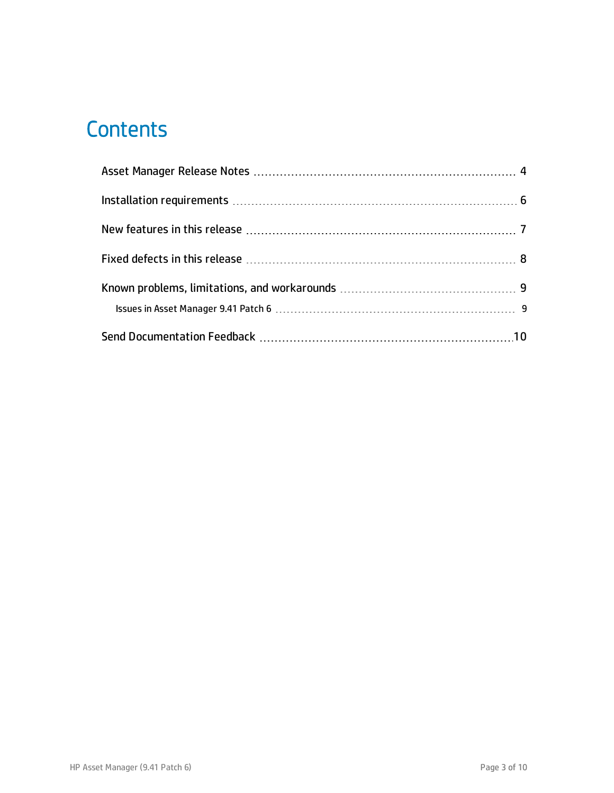# **Contents**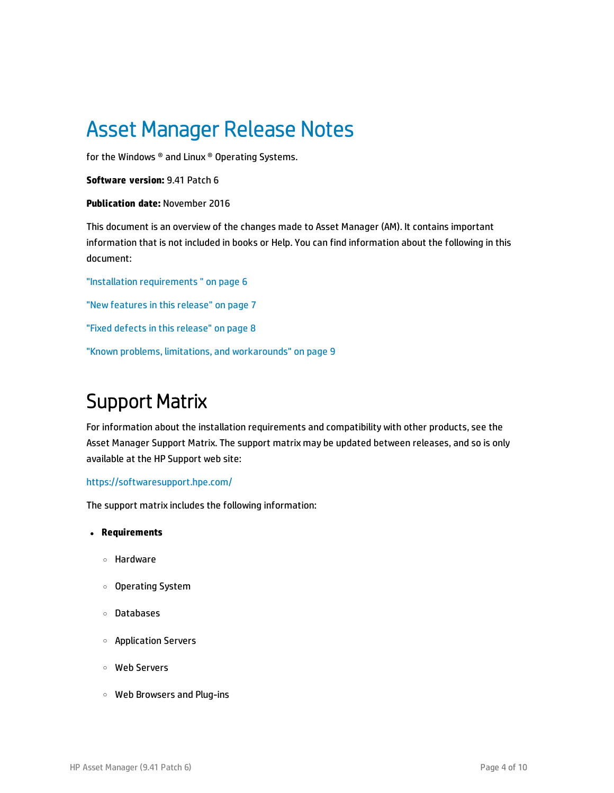# <span id="page-3-0"></span>Asset Manager Release Notes

for the Windows ® and Linux ® Operating Systems.

**Software version:** 9.41 Patch 6

#### **Publication date:** November 2016

This document is an overview of the changes made to Asset Manager (AM). It contains important information that is not included in books or Help. You can find information about the following in this document:

"Installation [requirements](#page-5-0) " on page 6 "New [features](#page-6-0) in this release" on page 7 "Fixed defects in this [release"](#page-7-0) on page 8 "Known problems, limitations, and [workarounds"](#page-8-0) on page 9

### Support Matrix

For information about the installation requirements and compatibility with other products, see the Asset Manager Support Matrix. The support matrix may be updated between releases, and so is only available at the HP Support web site:

### <https://softwaresupport.hpe.com/>

The support matrix includes the following information:

- <sup>l</sup> **Requirements**
	- <sup>o</sup> Hardware
	- <sup>o</sup> Operating System
	- <sup>o</sup> Databases
	- <sup>o</sup> Application Servers
	- <sup>o</sup> Web Servers
	- <sup>o</sup> Web Browsers and Plug-ins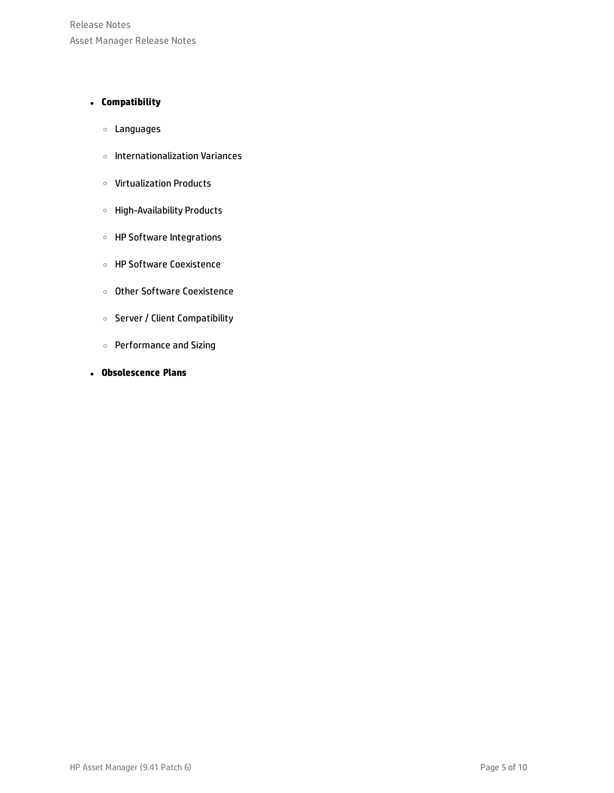Release Notes Asset Manager Release Notes

### <sup>l</sup> **Compatibility**

- <sup>o</sup> Languages
- <sup>o</sup> Internationalization Variances
- <sup>o</sup> Virtualization Products
- <sup>o</sup> High-Availability Products
- <sup>o</sup> HP Software Integrations
- <sup>o</sup> HP Software Coexistence
- <sup>o</sup> Other Software Coexistence
- <sup>o</sup> Server / Client Compatibility
- <sup>o</sup> Performance and Sizing
- <sup>l</sup> **Obsolescence Plans**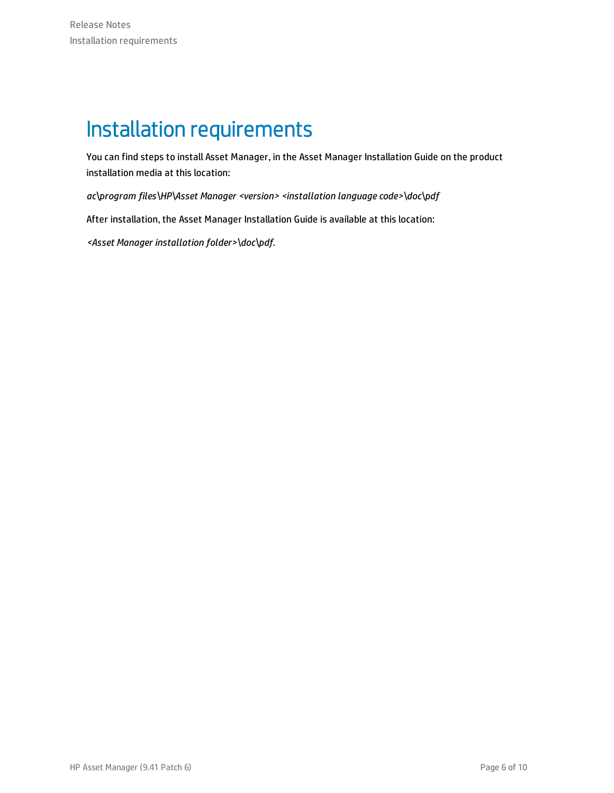# <span id="page-5-0"></span>Installation requirements

You can find steps to install Asset Manager, in the Asset Manager Installation Guide on the product installation media at this location:

*ac\program files\HP\Asset Manager <version> <installation language code>\doc\pdf*

After installation, the Asset Manager Installation Guide is available at this location:

*<Asset Manager installation folder>\doc\pdf*.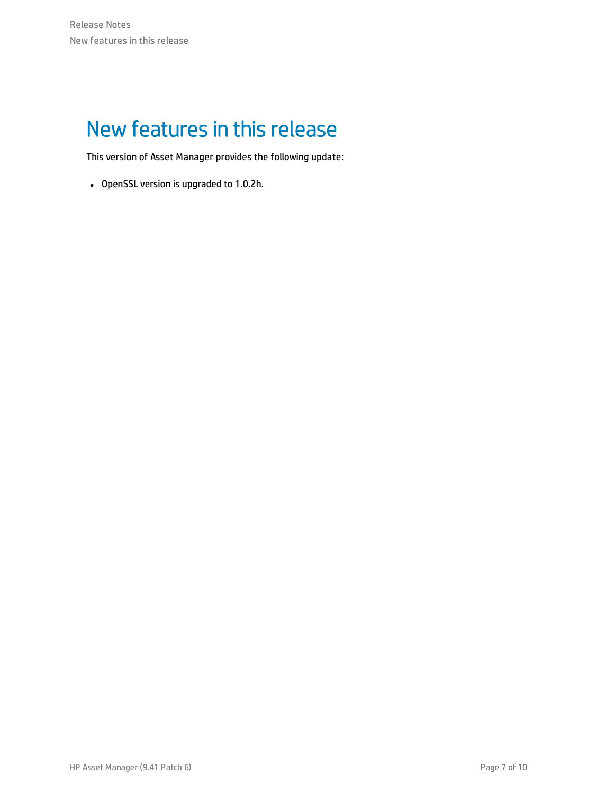# <span id="page-6-0"></span>New features in this release

This version of Asset Manager provides the following update:

• OpenSSL version is upgraded to 1.0.2h.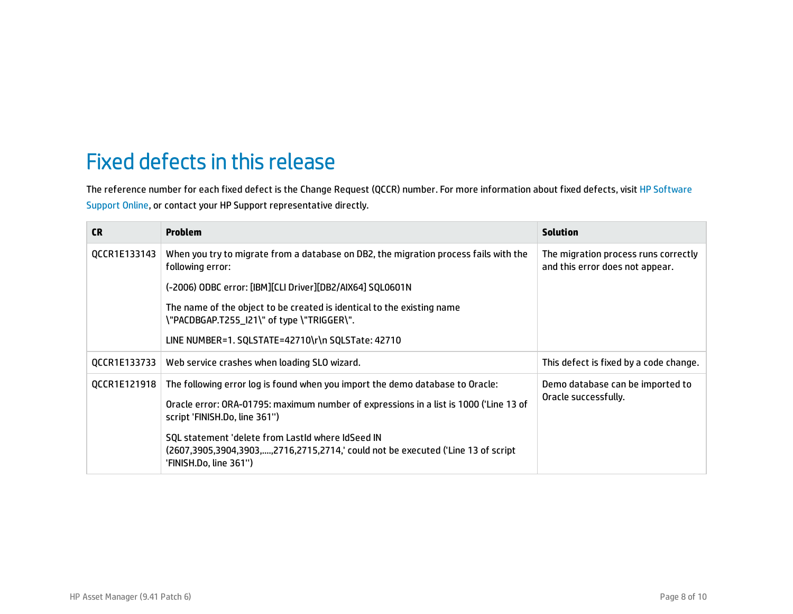# <span id="page-7-0"></span>Fixed defects in this release

The reference number for each fixed defect is the Change Request (QCCR) number. For more information about fixed defects, visit HP [Software](https://softwaresupport.hp.com/) [Support](https://softwaresupport.hp.com/) Online, or contact your HP Support representative directly.

| <b>CR</b>    | <b>Problem</b>                                                                                                                                                  | <b>Solution</b>                                                         |
|--------------|-----------------------------------------------------------------------------------------------------------------------------------------------------------------|-------------------------------------------------------------------------|
| QCCR1E133143 | When you try to migrate from a database on DB2, the migration process fails with the<br>following error:                                                        | The migration process runs correctly<br>and this error does not appear. |
|              | (-2006) ODBC error: [IBM][CLI Driver][DB2/AIX64] SQL0601N                                                                                                       |                                                                         |
|              | The name of the object to be created is identical to the existing name<br>\"PACDBGAP.T255_I21\" of type \"TRIGGER\".                                            |                                                                         |
|              | LINE NUMBER=1. SQLSTATE=42710\r\n SQLSTate: 42710                                                                                                               |                                                                         |
| QCCR1E133733 | Web service crashes when loading SLO wizard.                                                                                                                    | This defect is fixed by a code change.                                  |
| QCCR1E121918 | The following error log is found when you import the demo database to Oracle:                                                                                   | Demo database can be imported to<br>Oracle successfully.                |
|              | Oracle error: ORA-01795: maximum number of expressions in a list is 1000 ('Line 13 of<br>script 'FINISH.Do, line 361")                                          |                                                                         |
|              | SQL statement 'delete from LastId where IdSeed IN<br>(2607,3905,3904,3903,,2716,2715,2714,' could not be executed ('Line 13 of script<br>'FINISH.Do, line 361") |                                                                         |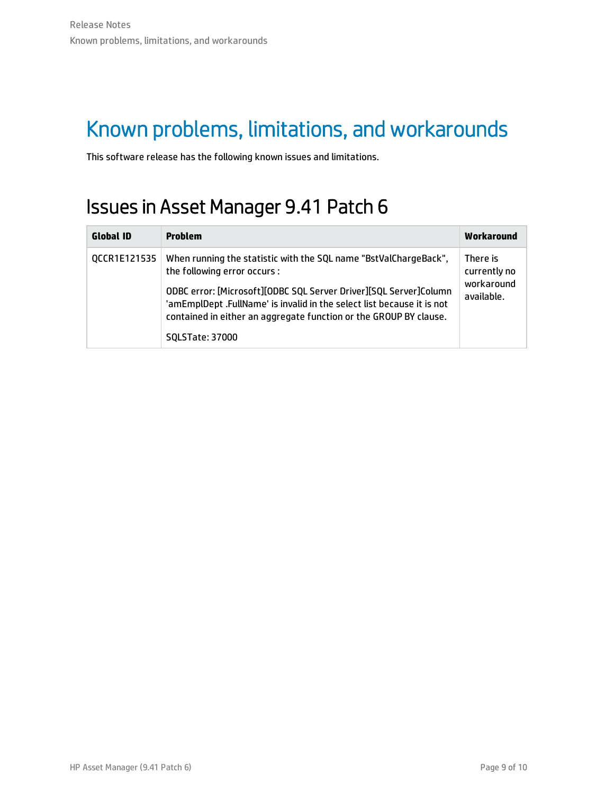# <span id="page-8-0"></span>Known problems, limitations, and workarounds

<span id="page-8-1"></span>This software release has the following known issues and limitations.

## Issues in Asset Manager 9.41 Patch 6

| <b>Global ID</b>    | <b>Problem</b>                                                                                                                                                                                                                                                                                                                                 | Workaround                                           |
|---------------------|------------------------------------------------------------------------------------------------------------------------------------------------------------------------------------------------------------------------------------------------------------------------------------------------------------------------------------------------|------------------------------------------------------|
| <b>OCCR1E121535</b> | When running the statistic with the SQL name "BstValChargeBack",<br>the following error occurs :<br>ODBC error: [Microsoft][ODBC SQL Server Driver][SQL Server]Column<br>'amEmplDept .FullName' is invalid in the select list because it is not<br>contained in either an aggregate function or the GROUP BY clause.<br><b>SQLSTate: 37000</b> | There is<br>currently no<br>workaround<br>available. |